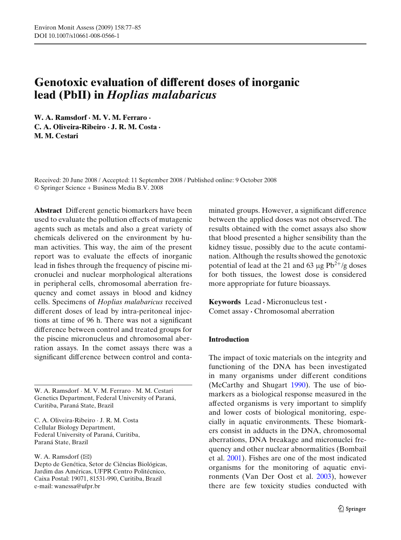# **Genotoxic evaluation of different doses of inorganic lead (PbII) in** *Hoplias malabaricus*

**W. A. Ramsdorf · M. V. M. Ferraro · C. A. Oliveira-Ribeiro · J. R. M. Costa · M. M. Cestari**

Received: 20 June 2008 / Accepted: 11 September 2008 / Published online: 9 October 2008 © Springer Science + Business Media B.V. 2008

**Abstract** Different genetic biomarkers have been used to evaluate the pollution effects of mutagenic agents such as metals and also a great variety of chemicals delivered on the environment by human activities. This way, the aim of the present report was to evaluate the effects of inorganic lead in fishes through the frequency of piscine micronuclei and nuclear morphological alterations in peripheral cells, chromosomal aberration frequency and comet assays in blood and kidney cells. Specimens of *Hoplias malabaricus* received different doses of lead by intra-peritoneal injections at time of 96 h. There was not a significant difference between control and treated groups for the piscine micronucleus and chromosomal aberration assays. In the comet assays there was a significant difference between control and conta-

W. A. Ramsdorf · M. V. M. Ferraro · M. M. Cestari Genetics Department, Federal University of Paraná, Curitiba, Paraná State, Brazil

C. A. Oliveira-Ribeiro · J. R. M. Costa Cellular Biology Department, Federal University of Paraná, Curitiba, Paraná State, Brazil

W. A. Ramsdorf  $(\boxtimes)$ 

Depto de Genética, Setor de Ciências Biológicas, Jardim das Américas, UFPR Centro Politécnico, Caixa Postal: 19071, 81531-990, Curitiba, Brazil e-mail: wanessa@ufpr.br

minated groups. However, a significant difference between the applied doses was not observed. The results obtained with the comet assays also show that blood presented a higher sensibility than the kidney tissue, possibly due to the acute contamination. Although the results showed the genotoxic potential of lead at the 21 and 63  $\mu$ g Pb<sup>2+</sup>/g doses for both tissues, the lowest dose is considered more appropriate for future bioassays.

**Keywords** Lead **·** Micronucleus test **·** Comet assay **·** Chromosomal aberration

# **Introduction**

The impact of toxic materials on the integrity and functioning of the DNA has been investigated in many organisms under different conditions (McCarthy and Shugar[t](#page-7-0) [1990](#page-7-0)). The use of biomarkers as a biological response measured in the affected organisms is very important to simplify and lower costs of biological monitoring, especially in aquatic environments. These biomarkers consist in adducts in the DNA, chromosomal aberrations, DNA breakage and micronuclei frequency and other nuclear abnormalities (Bombail et al. [2001](#page-7-0)). Fishes are one of the most indicated organisms for the monitoring of aquatic environments (Van Der Oost et al[.](#page-8-0) [2003](#page-8-0)), however there are few toxicity studies conducted with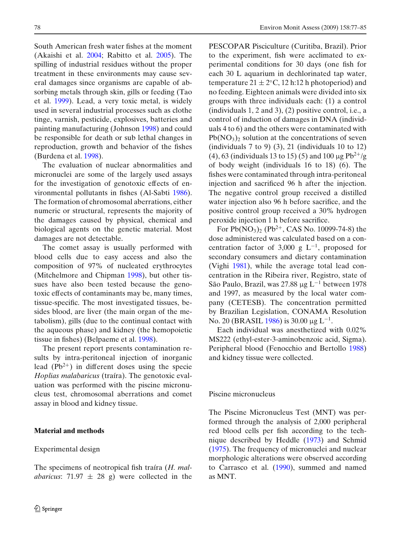South American fresh water fishes at the moment (Akaishi et al[.](#page-6-0) [2004;](#page-6-0) Rabitto et al[.](#page-8-0) [2005](#page-8-0)). The spilling of industrial residues without the proper treatment in these environments may cause several damages since organisms are capable of absorbing metals through skin, gills or feeding (Tao et al[.](#page-8-0) [1999](#page-8-0)). Lead, a very toxic metal, is widely used in several industrial processes such as clothe tinge, varnish, pesticide, explosives, batteries and painting manufacturing (Johnso[n](#page-7-0) [1998](#page-7-0)) and could be responsible for death or sub lethal changes in reproduction, growth and behavior of the fishes (Burdena et al[.](#page-7-0) [1998\)](#page-7-0).

The evaluation of nuclear abnormalities and micronuclei are some of the largely used assays for the investigation of genotoxic effects of environmental pollutants in fishes (Al-Sabt[i](#page-6-0) [1986\)](#page-6-0). The formation of chromosomal aberrations, either numeric or structural, represents the majority of the damages caused by physical, chemical and biological agents on the genetic material. Most damages are not detectable.

The comet assay is usually performed with blood cells due to easy access and also the composition of 97% of nucleated erythrocytes (Mitchelmore and Chipma[n](#page-7-0) [1998\)](#page-7-0), but other tissues have also been tested because the genotoxic effects of contaminants may be, many times, tissue-specific. The most investigated tissues, besides blood, are liver (the main organ of the metabolism), gills (due to the continual contact with the aqueous phase) and kidney (the hemopoietic tissue in fishes) (Belpaeme et al[.](#page-6-0) [1998\)](#page-6-0).

The present report presents contamination results by intra-peritoneal injection of inorganic lead  $(Pb^{2+})$  in different doses using the specie *Hoplias malabaricus* (traíra). The genotoxic evaluation was performed with the piscine micronucleus test, chromosomal aberrations and comet assay in blood and kidney tissue.

## **Material and methods**

#### Experimental design

The specimens of neotropical fish traíra (*H. malabaricus*:  $71.97 \pm 28$  g) were collected in the PESCOPAR Pisciculture (Curitiba, Brazil). Prior to the experiment, fish were acclimated to experimental conditions for 30 days (one fish for each 30 L aquarium in dechlorinated tap water, temperature  $21 \pm 2$ °C, 12 h:12 h photoperiod) and no feeding. Eighteen animals were divided into six groups with three individuals each: (1) a control (individuals 1, 2 and 3), (2) positive control, i.e., a control of induction of damages in DNA (individuals 4 to 6) and the others were contaminated with  $Pb(NO<sub>3</sub>)<sub>2</sub>$  solution at the concentrations of seven (individuals  $7$  to  $9$ )  $(3)$ ,  $21$  (individuals  $10$  to  $12$ ) (4), 63 (individuals 13 to 15) (5) and 100  $\mu$ g Pb<sup>2+</sup>/g of body weight (individuals 16 to 18) (6). The fishes were contaminated through intra-peritoneal injection and sacrificed 96 h after the injection. The negative control group received a distilled water injection also 96 h before sacrifice, and the positive control group received a 30% hydrogen peroxide injection 1 h before sacrifice.

For  $Pb(NO<sub>3</sub>)<sub>2</sub>$  ( $Pb<sup>2+</sup>$ , CAS No. 10099-74-8) the dose administered was calculated based on a concentration factor of 3,000 g  $L^{-1}$ , proposed for secondary consumers and dietary contamination (Vigh[i](#page-8-0) [1981](#page-8-0)), while the average total lead concentration in the Ribeira river, Registro, state of São Paulo, Brazil, was 27.88 μg L<sup>−</sup><sup>1</sup> between 1978 and 1997, as measured by the local water company (CETESB). The concentration permitted by Brazilian Legislation, CONAMA Resolution No. 20 (BRASI[L](#page-7-0) [1986\)](#page-7-0) is 30.00 μg L<sup>-1</sup>.

Each individual was anesthetized with 0.02% MS222 (ethyl-ester-3-aminobenzoic acid, Sigma). Peripheral blood (Fenocchio and Bertoll[o](#page-7-0) [1988](#page-7-0)) and kidney tissue were collected.

#### Piscine micronucleus

The Piscine Micronucleus Test (MNT) was performed through the analysis of 2,000 peripheral red blood cells per fish according to the technique described by Heddl[e](#page-7-0) [\(1973\)](#page-7-0) and Schmi[d](#page-8-0) [\(1975\)](#page-8-0). The frequency of micronuclei and nuclear morphologic alterations were observed according to Carrasco et al[.](#page-7-0) [\(1990](#page-7-0)), summed and named as MNT.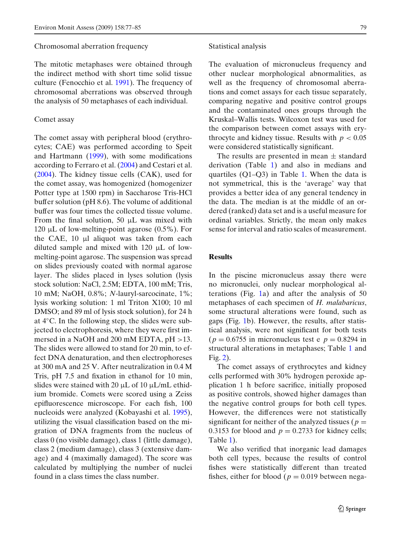#### Chromosomal aberration frequency

The mitotic metaphases were obtained through the indirect method with short time solid tissue culture (Fenocchio et al[.](#page-7-0) [1991](#page-7-0)). The frequency of chromosomal aberrations was observed through the analysis of 50 metaphases of each individual.

# Comet assay

The comet assay with peripheral blood (erythrocytes; CAE) was performed according to Speit and Hartman[n](#page-8-0) [\(1999](#page-8-0)), with some modifications according to Ferraro et al[.](#page-7-0) [\(2004](#page-7-0)) and Cestari et al[.](#page-7-0) [\(2004\)](#page-7-0). The kidney tissue cells (CAK), used for the comet assay, was homogenized (homogenizer Potter type at 1500 rpm) in Saccharose Tris-HCl buffer solution (pH 8.6). The volume of additional buffer was four times the collected tissue volume. From the final solution, 50 μL was mixed with 120 μL of low-melting-point agarose  $(0.5\%)$ . For the CAE, 10 μl aliquot was taken from each diluted sample and mixed with 120 μL of lowmelting-point agarose. The suspension was spread on slides previously coated with normal agarose layer. The slides placed in lyses solution (lysis stock solution: NaCl, 2.5M; EDTA, 100 mM; Tris, 10 mM; NaOH, 0.8%; *N*-lauryl-sarcocinate, 1%; lysis working solution: 1 ml Triton X100; 10 ml DMSO; and 89 ml of lysis stock solution), for 24 h at 4◦C. In the following step, the slides were subjected to electrophoresis, where they were first immersed in a NaOH and 200 mM EDTA, pH >13. The slides were allowed to stand for 20 min, to effect DNA denaturation, and then electrophoreses at 300 mA and 25 V. After neutralization in 0.4 M Tris, pH 7.5 and fixation in ethanol for 10 min, slides were stained with 20 μL of 10 μL/mL ethidium bromide. Comets were scored using a Zeiss epifluorescence microscope. For each fish, 100 nucleoids were analyzed (Kobayashi et al. [1995\)](#page-7-0), utilizing the visual classification based on the migration of DNA fragments from the nucleus of class 0 (no visible damage), class 1 (little damage), class 2 (medium damage), class 3 (extensive damage) and 4 (maximally damaged). The score was calculated by multiplying the number of nuclei found in a class times the class number.

### Statistical analysis

The evaluation of micronucleus frequency and other nuclear morphological abnormalities, as well as the frequency of chromosomal aberrations and comet assays for each tissue separately, comparing negative and positive control groups and the contaminated ones groups through the Kruskal–Wallis tests. Wilcoxon test was used for the comparison between comet assays with erythrocyte and kidney tissue. Results with  $p < 0.05$ were considered statistically significant.

The results are presented in mean  $\pm$  standard derivation (Table [1\)](#page-3-0) and also in medians and quartiles (Q1–Q3) in Table [1.](#page-3-0) When the data is not symmetrical, this is the 'average' way that provides a better idea of any general tendency in the data. The median is at the middle of an ordered (ranked) data set and is a useful measure for ordinal variables. Strictly, the mean only makes sense for interval and ratio scales of measurement.

## **Results**

In the piscine micronucleus assay there were no micronuclei, only nuclear morphological alterations (Fig. [1a](#page-3-0)) and after the analysis of 50 metaphases of each specimen of *H. malabaricus*, some structural alterations were found, such as gaps (Fig. [1b](#page-3-0)). However, the results, after statistical analysis, were not significant for both tests  $(p = 0.6755$  in micronucleus test e  $p = 0.8294$  in structural alterations in metaphases; Table [1](#page-3-0) and Fig. [2\)](#page-4-0).

The comet assays of erythrocytes and kidney cells performed with 30% hydrogen peroxide application 1 h before sacrifice, initially proposed as positive controls, showed higher damages than the negative control groups for both cell types. However, the differences were not statistically significant for neither of the analyzed tissues ( $p =$ 0.3153 for blood and  $p = 0.2733$  for kidney cells; Table [1\)](#page-3-0).

We also verified that inorganic lead damages both cell types, because the results of control fishes were statistically different than treated fishes, either for blood ( $p = 0.019$  between nega-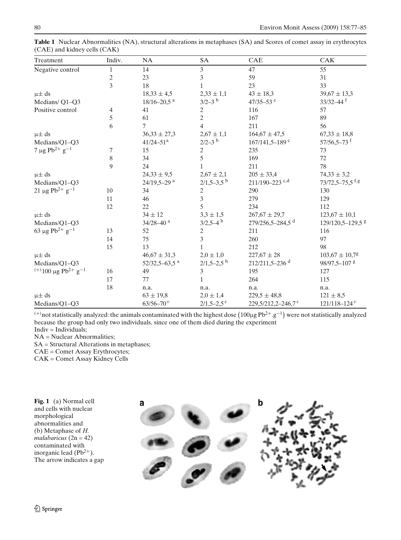| Treatment                                              | Indiv.       | <b>NA</b>                   | <b>SA</b>                | CAE                            | CAK                            |
|--------------------------------------------------------|--------------|-----------------------------|--------------------------|--------------------------------|--------------------------------|
| Negative control                                       | $\mathbf{1}$ | 14                          | $\mathfrak{Z}$           | 47                             | 55                             |
|                                                        | 2            | 23                          | 3                        | 59                             | 31                             |
|                                                        | 3            | 18                          | 1                        | 23                             | 33                             |
| $\mu\pm ds$                                            |              | $18,33 \pm 4,5$             | $2,33 \pm 1,1$           | $43 \pm 18,3$                  | $39,67 \pm 13,3$               |
| Medians/ Q1-Q3                                         |              | $18/16 - 20.5$ <sup>a</sup> | $3/2-3$ b                | 47/35-53 c                     | $33/32 - 44$ f                 |
| Positive control                                       | 4            | 41                          | 2                        | 116                            | 57                             |
|                                                        | 5            | 61                          | $\mathbf{2}$             | 167                            | 89                             |
|                                                        | 6            | 7                           | 4                        | 211                            | 56                             |
| $\mu \pm ds$                                           |              | $36,33 \pm 27,3$            | $2,67 \pm 1,1$           | $164,67 \pm 47,5$              | $67,33 \pm 18,8$               |
| Medians/Q1-Q3                                          |              | $41/24 - 51$ <sup>a</sup>   | $2/2-3$ b                | $167/141.5 - 189$ c            | $57/56,5-73$ <sup>f</sup>      |
| 7 µg Pb <sup>2+</sup> g <sup>-1</sup>                  | 7            | 15                          | $\sqrt{2}$               | 235                            | 73                             |
|                                                        | 8            | 34                          | 5                        | 169                            | 72                             |
|                                                        | 9            | 24                          | $\mathbf{1}$             | 211                            | 78                             |
| $\mu \pm ds$                                           |              | $24,33 \pm 9,5$             | $2,67 \pm 2,1$           | $205 \pm 33,4$                 | $74,33 \pm 3,2$                |
| Medians/Q1-Q3                                          |              | 24/19,5-29 <sup>a</sup>     | $2/1,5-3,5$ <sup>b</sup> | $211/190 - 223$ <sup>c,d</sup> | $73/72,5-75,5$ <sup>f,g</sup>  |
| $21 \mu g Pb^{2+} g^{-1}$                              | 10           | 34                          | $\sqrt{2}$               | 290                            | 130                            |
|                                                        | 11           | 46                          | $\overline{3}$           | 279                            | 129                            |
|                                                        | 12           | 22                          | 5                        | 234                            | 112                            |
| $\mu\pm ds$                                            |              | $34 \pm 12$                 | $3.3 \pm 1.5$            | $267,67 \pm 29,7$              | $123,67 \pm 10,1$              |
| Medians/Q1-Q3                                          |              | $34/28 - 40$ <sup>a</sup>   | $3/2,5-4$ <sup>b</sup>   | 279/256,5-284,5 <sup>d</sup>   | 129/120,5-129,5 \$             |
| 63 µg Pb <sup>2+</sup> g <sup>-1</sup>                 | 13           | 52                          | $\mathbf{2}$             | 211                            | 116                            |
|                                                        | 14           | 75                          | $\overline{3}$           | 260                            | 97                             |
|                                                        | 15           | 13                          | 1                        | 212                            | 98                             |
| $\mu\pm ds$                                            |              | $46,67 \pm 31,3$            | $2.0 \pm 1.0$            | $227,67 \pm 28$                | $103,67 \pm 10,7$ <sup>g</sup> |
| Medians/O1-O3                                          |              | $52/32,5-63,5$ <sup>a</sup> | $2/1,5-2,5$ <sup>b</sup> | 212/211,5-236 <sup>d</sup>     | 98/97,5-107 <sup>g</sup>       |
| <sup>(+)</sup> 100 µg Pb <sup>2+</sup> g <sup>-1</sup> | 16           | 49                          | $\mathfrak{Z}$           | 195                            | 127                            |
|                                                        | 17           | 77                          | $\mathbf{1}$             | 264                            | 115                            |
|                                                        | 18           | n.a.                        | n.a.                     | n.a.                           | n.a.                           |
| $\mu\pm ds$                                            |              | $63 \pm 19,8$               | $2,0 \pm 1,4$            | $229,5 \pm 48,8$               | $121 \pm 8.5$                  |

<span id="page-3-0"></span>**Table 1** Nuclear Abnormalities (NA), structural alterations in metaphases (SA) and Scores of comet assay in erythrocytes (CAE) and kidney cells (CAK)

 $^{(+)}$ not statistically analyzed: the animals contaminated with the highest dose  $(100\mu g Pb^{2+}.g^{-1})$  were not statistically analyzed because the group had only two individuals, since one of them died during the experiment

Medians/Q1–Q3 63/56–70<sup>+</sup> 2/1,5–2,5<sup>+</sup> 229,5/212,2–246,7<sup>+</sup> 121/118–124<sup>+</sup>

NA = Nuclear Abnormalities;

SA = Structural Alterations in metaphases;

CAE = Comet Assay Erythrocytes;

CAK = Comet Assay Kidney Cells

**Fig. 1** (a) Normal cell and cells with nuclear morphological abnormalities and (b) Metaphase of *H. malabaricus* (2n = 42) contaminated with inorganic lead  $(Pb^{2+})$ . The arrow indicates a gap



Indiv = Individuals;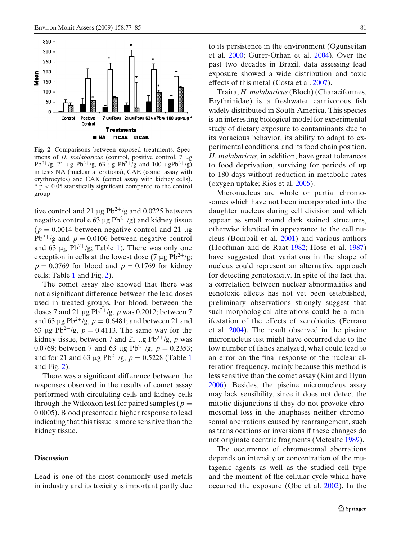<span id="page-4-0"></span>

**Fig. 2** Comparisons between exposed treatments. Specimens of *H. malabaricus* (control, positive control, 7 μg Pb<sup>2+</sup>/g, 21 μg Pb<sup>2+</sup>/g, 63 μg Pb<sup>2+</sup>/g and 100 μgPb<sup>2+</sup>/g) in tests NA (nuclear alterations), CAE (comet assay with erythrocytes) and CAK (comet assay with kidney cells).  $* p < 0.05$  statistically significant compared to the control group

tive control and 21  $\mu$ g Pb<sup>2+</sup>/g and 0.0225 between negative control e 63 μg  $Pb^{2+}/g$ ) and kidney tissue  $(p = 0.0014$  between negative control and 21  $\mu$ g  $Pb^{2+}/g$  and  $p = 0.0106$  between negative control and 63 μg Pb<sup>2+</sup>/g; Table [1\)](#page-3-0). There was only one exception in cells at the lowest dose (7  $\mu$ g Pb<sup>2+</sup>/g;  $p = 0.0769$  for blood and  $p = 0.1769$  for kidney cells; Table [1](#page-3-0) and Fig. 2).

The comet assay also showed that there was not a significant difference between the lead doses used in treated groups. For blood, between the doses 7 and 21 μg Pb<sup>2</sup><sup>+</sup>/g, *p* was 0.2012; between 7 and 63 μg Pb<sup>2+</sup>/g,  $p = 0.6481$ ; and between 21 and 63 μg Pb<sup>2+</sup>/g,  $p = 0.4113$ . The same way for the kidney tissue, between 7 and 21  $\mu$ g Pb<sup>2+</sup>/g, *p* was 0.0769; between 7 and 63 μg Pb<sup>2+</sup>/g,  $p = 0.2353$ ; and for 2[1](#page-3-0) and 63 μg Pb<sup>2+</sup>/g,  $p = 0.5228$  (Table 1) and Fig. 2).

There was a significant difference between the responses observed in the results of comet assay performed with circulating cells and kidney cells through the Wilcoxon test for paired samples ( $p =$ 0.0005). Blood presented a higher response to lead indicating that this tissue is more sensitive than the kidney tissue.

## **Discussion**

Lead is one of the most commonly used metals in industry and its toxicity is important partly due to its persistence in the environment (Ogunseitan et al[.](#page-7-0) [2000](#page-7-0); Gurer-Orhan et al[.](#page-7-0) [2004](#page-7-0)). Over the past two decades in Brazil, data assessing lead exposure showed a wide distribution and toxic effects of this metal (Costa et al[.](#page-7-0) [2007](#page-7-0)).

Traira, *H. malabaricus*(Bloch) (Characiformes, Erythrinidae) is a freshwater carnivorous fish widely distributed in South America. This species is an interesting biological model for experimental study of dietary exposure to contaminants due to its voracious behavior, its ability to adapt to experimental conditions, and its food chain position. *H. malabaricus*, in addition, have great tolerances to food deprivation, surviving for periods of up to 180 days without reduction in metabolic rates (oxygen uptake; Rios et al. [2005\)](#page-8-0).

Micronucleus are whole or partial chromosomes which have not been incorporated into the daughter nucleus during cell division and which appear as small round dark stained structures, otherwise identical in appearance to the cell nucleus (Bombail et al[.](#page-7-0) [2001](#page-7-0)) and various authors (Hooftman and de Raa[t](#page-7-0) [1982](#page-7-0); Hose et al[.](#page-7-0) [1987](#page-7-0)) have suggested that variations in the shape of nucleus could represent an alternative approach for detecting genotoxicity. In spite of the fact that a correlation between nuclear abnormalities and genotoxic effects has not yet been established, preliminary observations strongly suggest that such morphological alterations could be a manifestation of the effects of xenobiotics (Ferraro et al[.](#page-7-0) [2004\)](#page-7-0). The result observed in the piscine micronucleus test might have occurred due to the low number of fishes analyzed, what could lead to an error on the final response of the nuclear alteration frequency, mainly because this method is less sensitive than the comet assay (Kim and Hyu[n](#page-7-0) [2006\)](#page-7-0). Besides, the piscine micronucleus assay may lack sensibility, since it does not detect the mitotic disjunctions if they do not provoke chromosomal loss in the anaphases neither chromosomal aberrations caused by rearrangement, such as translocations or inversions if these changes do not originate acentric fragments (Metcalf[e](#page-7-0) [1989\)](#page-7-0).

The occurrence of chromosomal aberrations depends on intensity or concentration of the mutagenic agents as well as the studied cell type and the moment of the cellular cycle which have occurred the exposure (Obe et al[.](#page-7-0) [2002](#page-7-0)). In the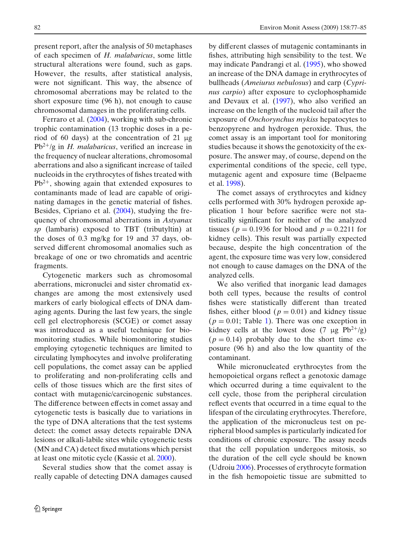present report, after the analysis of 50 metaphases of each specimen of *H. malabaricus*, some little structural alterations were found, such as gaps. However, the results, after statistical analysis, were not significant. This way, the absence of chromosomal aberrations may be related to the short exposure time (96 h), not enough to cause chromosomal damages in the proliferating cells.

Ferraro et al[.](#page-7-0) [\(2004](#page-7-0)), working with sub-chronic trophic contamination (13 trophic doses in a period of 60 days) at the concentration of 21 μg Pb<sup>2</sup><sup>+</sup>/g in *H. malabaricus*, verified an increase in the frequency of nuclear alterations, chromosomal aberrations and also a significant increase of tailed nucleoids in the erythrocytes of fishes treated with  $Pb^{2+}$ , showing again that extended exposures to contaminants made of lead are capable of originating damages in the genetic material of fishes. Besides, Cipriano et al[.](#page-7-0) [\(2004](#page-7-0)), studying the frequency of chromosomal aberrations in *Astyanax sp* (lambaris) exposed to TBT (tributyltin) at the doses of 0.3 mg/kg for 19 and 37 days, observed different chromosomal anomalies such as breakage of one or two chromatids and acentric fragments.

Cytogenetic markers such as chromosomal aberrations, micronuclei and sister chromatid exchanges are among the most extensively used markers of early biological effects of DNA damaging agents. During the last few years, the single cell gel electrophoresis (SCGE) or comet assay was introduced as a useful technique for biomonitoring studies. While biomonitoring studies employing cytogenetic techniques are limited to circulating lymphocytes and involve proliferating cell populations, the comet assay can be applied to proliferating and non-proliferating cells and cells of those tissues which are the first sites of contact with mutagenic/carcinogenic substances. The difference between effects in comet assay and cytogenetic tests is basically due to variations in the type of DNA alterations that the test systems detect: the comet assay detects repairable DNA lesions or alkali-labile sites while cytogenetic tests (MN and CA) detect fixed mutations which persist at least one mitotic cycle (Kassie et al. [2000](#page-7-0)).

Several studies show that the comet assay is really capable of detecting DNA damages caused by different classes of mutagenic contaminants in fishes, attributing high sensibility to the test. We may indicate Pandrangi et al[.](#page-8-0) [\(1995\)](#page-8-0), who showed an increase of the DNA damage in erythrocytes of bullheads (*Ameiurus nebulosus*) and carp (*Cyprinus carpio*) after exposure to cyclophosphamide and Devaux et al[.](#page-7-0) [\(1997](#page-7-0)), who also verified an increase on the length of the nucleoid tail after the exposure of *Onchorynchus mykiss* hepatocytes to benzopyrene and hydrogen peroxide. Thus, the comet assay is an important tool for monitoring studies because it shows the genotoxicity of the exposure. The answer may, of course, depend on the experimental conditions of the specie, cell type, mutagenic agent and exposure time (Belpaeme et al[.](#page-6-0) [1998\)](#page-6-0).

The comet assays of erythrocytes and kidney cells performed with 30% hydrogen peroxide application 1 hour before sacrifice were not statistically significant for neither of the analyzed tissues ( $p = 0.1936$  for blood and  $p = 0.2211$  for kidney cells). This result was partially expected because, despite the high concentration of the agent, the exposure time was very low, considered not enough to cause damages on the DNA of the analyzed cells.

We also verified that inorganic lead damages both cell types, because the results of control fishes were statistically different than treated fishes, either blood  $(p = 0.01)$  and kidney tissue  $(p = 0.01;$  Table [1\)](#page-3-0). There was one exception in kidney cells at the lowest dose  $(7 \mu g Pb^{2+}/g)$  $(p = 0.14)$  probably due to the short time exposure (96 h) and also the low quantity of the contaminant.

While micronucleated erythrocytes from the hemopoietical organs reflect a genotoxic damage which occurred during a time equivalent to the cell cycle, those from the peripheral circulation reflect events that occurred in a time equal to the lifespan of the circulating erythrocytes. Therefore, the application of the micronucleus test on peripheral blood samples is particularly indicated for conditions of chronic exposure. The assay needs that the cell population undergoes mitosis, so the duration of the cell cycle should be known (Udroi[u](#page-8-0) [2006](#page-8-0)). Processes of erythrocyte formation in the fish hemopoietic tissue are submitted to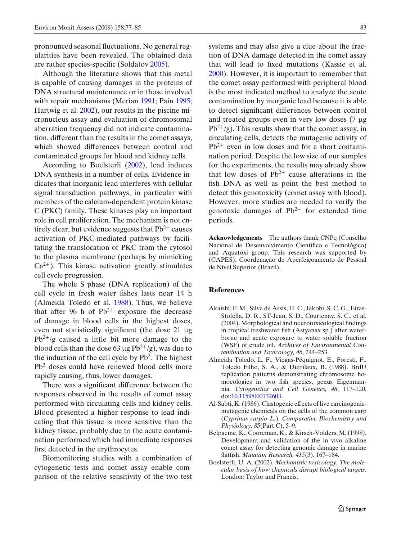<span id="page-6-0"></span>pronounced seasonal fluctuations. No general regularities have been revealed. The obtained data are rather species-specific (Soldato[v](#page-8-0) [2005](#page-8-0)).

Although the literature shows that this metal is capable of causing damages in the proteins of DNA structural maintenance or in those involved with repair mecha[n](#page-8-0)isms (Merian [1991;](#page-7-0) Pain [1995;](#page-8-0) Hartwig et al[.](#page-7-0) [2002](#page-7-0)), our results in the piscine micronucleus assay and evaluation of chromosomal aberration frequency did not indicate contamination, different than the results in the comet assays, which showed differences between control and contaminated groups for blood and kidney cells.

According to Boelsterli (2002), lead induces DNA synthesis in a number of cells. Evidence indicates that inorganic lead interferes with cellular signal transduction pathways, in particular with members of the calcium-dependent protein kinase C (PKC) family. These kinases play an important role in cell proliferation. The mechanism is not entirely clear, but evidence suggests that  $Pb^{2+}$  causes activation of PKC-mediated pathways by facilitating the translocation of PKC from the cytosol to the plasma membrane (perhaps by mimicking  $Ca<sup>2+</sup>$ ). This kinase activation greatly stimulates cell cycle progression.

The whole S phase (DNA replication) of the cell cycle in fresh water fishes lasts near 14 h (Almeida Toledo et al. 1988). Thus, we believe that after 96 h of  $Pb^{2+}$  exposure the decrease of damage in blood cells in the highest doses, even not statistically significant (the dose 21 μg  $Pb^{2+}/g$  caused a little bit more damage to the blood cells than the dose 63 μg  $Pb^{2+}/g$ ), was due to the induction of the cell cycle by  $Pb<sup>2</sup>$ . The highest Pb<sup>2</sup> doses could have renewed blood cells more rapidly causing, thus, lower damages.

There was a significant difference between the responses observed in the results of comet assay performed with circulating cells and kidney cells. Blood presented a higher response to lead indicating that this tissue is more sensitive than the kidney tissue, probably due to the acute contamination performed which had immediate responses first detected in the erythrocytes.

Biomonitoring studies with a combination of cytogenetic tests and comet assay enable comparison of the relative sensitivity of the two test

systems and may also give a clue about the fraction of DNA damage detected in the comet assay that will lead to fixed mutations (Kassie et al. [2000\)](#page-7-0). However, it is important to remember that the comet assay performed with peripheral blood is the most indicated method to analyze the acute contamination by inorganic lead because it is able to detect significant differences between control and treated groups even in very low doses (7 μg  $Pb^{2+}/g$ ). This results show that the comet assay, in circulating cells, detects the mutagenic activity of  $Pb^{2+}$  even in low doses and for a short contamination period. Despite the low size of our samples for the experiments, the results may already show that low doses of  $Pb^{2+}$  cause alterations in the fish DNA as well as point the best method to detect this genotoxicity (comet assay with blood). However, more studies are needed to verify the genotoxic damages of  $Pb^{2+}$  for extended time periods.

**Acknowledgements** The authors thank CNPq (Conselho Nacional de Desenvolvimento Científico e Tecnológico) and Aquatóxi group. This research was supported by (CAPES), Coordenação de Aperfeiçoamento de Pessoal de Nível Superior (Brazil).

# **References**

- Akaishi, F. M., Silva de Assis, H. C., Jakobi, S. C. G., Eiras-Stofella, D. R., ST-Jean, S. D., Courtenay, S. C., et al. (2004). Morphological and neurotoxicological findings in tropical freshwater fish (Astyanax sp.) after waterborne and acute exposure to water soluble fraction (WSF) of crude oil. *Archives of Environmental Contamination and Toxicology, 46*, 244–253.
- Almeida Toledo, L. F., Viegas-Péquignot, E., Foresti, F., Toledo Filho, S. A., & Dutrilaux, B. (1988). BrdU replication patterns demonstrating chromosome homoeologies in two fish species, genus Eigenmannia. *Cytogenetics and Cell Genetics, 48*, 117–120. doi[:10.1159/000132603.](http://dx.doi.org/10.1159/000132603)
- Al-Sabti, K. (1986). Clastogenic effects of live carcinogenicmutagenic chemicals on the cells of the common carp (*Cyprinus carpio L.*). *Comparative Biochemistry and Physiology, 85*(Part C), 5–9.
- Belpaeme, K., Cooreman, K., & Kirsch-Volders, M. (1998). Development and validation of the in vivo alkaline comet assay for detecting genomic damage in marine flatfish. *Mutation Research, 415*(3), 167–184.
- Boelsterli, U. A. (2002). *Mechanistic toxicology. The molecular basis of how chemicals disrupt biological targets*. London: Taylor and Francis.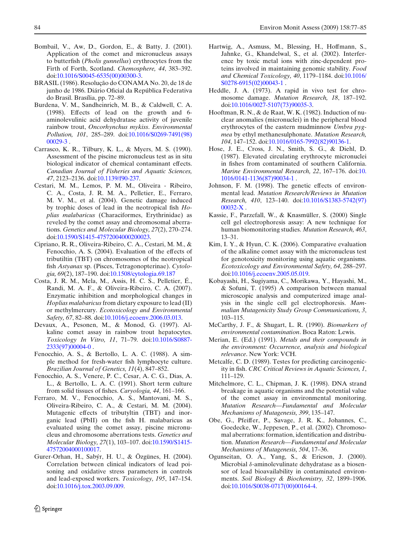- <span id="page-7-0"></span>Bombail, V., Aw, D., Gordon, E., & Batty, J. (2001). Application of the comet and micronucleus assays to butterfish (*Pholis gunnellus*) erythrocytes from the Firth of Forth, Scotland. *Chemosphere, 44*, 383–392. doi[:10.1016/S0045-6535\(00\)00300-3.](http://dx.doi.org/10.1016/S0045-6535(00)00300-3)
- BRASIL (1986). Resolução do CONAMA No. 20, de 18 de junho de 1986. Diário Oficial da República Federativa do Brasil. Brasília, pp. 72–89.
- Burdena, V. M., Sandheinrich, M. B., & Caldwell, C. A. (1998). Effects of lead on the growth and 6 aminolevulinic acid dehydratase activity of juvenile rainbow trout, *Oncorhynchus mykiss*. *Environmental Pollution, 101*, 285–289. doi[:10.1016/S0269-7491\(98\)](http://dx.doi.org/10.1016/S0269-7491(98)00029-3) [00029-3](http://dx.doi.org/10.1016/S0269-7491(98)00029-3) .
- Carrasco, K. R., Tilbury, K. L., & Myers, M. S. (1990). Assessment of the piscine micronucleus test as in situ biological indicator of chemical contaminant effects. *Canadian Journal of Fisheries and Aquatic Sciences, 47*, 2123–2136. doi[:10.1139/f90-237.](http://dx.doi.org/10.1139/f90-237)
- Cestari, M. M., Lemos, P. M. M., Oliveira Ribeiro, C. A., Costa, J. R. M. A., Pelletier, E., Ferraro, M. V. M., et al. (2004). Genetic damage induced by trophic doses of lead in the neotropical fish *Hoplias malabaricus* (Characiformes, Erythrinidae) as reveled by the comet assay and chromosomal aberrations. *Genetics and Molecular Biology, 27*(2), 270–274. doi[:10.1590/S1415-47572004000200023.](http://dx.doi.org/10.1590/S1415-47572004000200023)
- Cipriano, R. R., Oliveira-Ribeiro, C. A., Cestari, M. M., & Fenocchio, A. S. (2004). Evaluation of the effects of tributiltin (TBT) on chromosomes of the neotropical fish *Astyanax* sp. (Pisces, Tetragonopterinae). *Cytologia, 69*(2), 187–190. doi[:10.1508/cytologia.69.187](http://dx.doi.org/10.1508/cytologia.69.187)
- Costa, J. R. M., Mela, M., Assis, H. C. S., Pelletier, É., Randi, M. A. F., & Oliveira-Ribeiro, C. A. (2007). Enzymatic inhibition and morphological changes in *Hoplias malabaricus*from dietary exposure to lead (II) or methylmercury. *Ecotoxicology and Environmental Safety, 67*, 82–88. doi[:10.1016/j.ecoenv.2006.03.013.](http://dx.doi.org/10.1016/j.ecoenv.2006.03.013)
- Devaux, A., Pesonen, M., & Monod, G. (1997). Alkaline comet assay in rainbow trout hepatocytes. *Toxicology In Vitro, 11*, 71–79. doi[:10.1016/S0887-](http://dx.doi.org/10.1016/S0887-2333(97)00004-0) [2333\(97\)00004-0](http://dx.doi.org/10.1016/S0887-2333(97)00004-0) .
- Fenocchio, A. S., & Bertollo, L. A. C. (1988). A simple method for fresh-water fish lymphocyte culture. *Brazilian Journal of Genetics, 11*(4), 847–852.
- Fenocchio, A. S., Venere, P. C., Cesar, A. C. G., Dias, A. L., & Bertollo, L. A. C. (1991). Short term culture from solid tissues of fishes. *Caryologia, 44*, 161–166.
- Ferraro, M. V., Fenocchio, A. S., Mantovani, M. S., Oliveira-Ribeiro, C. A., & Cestari, M. M. (2004). Mutagenic effects of tributyltin (TBT) and inorganic lead (PbII) on the fish H. malabaricus as evaluated using the comet assay, piscine micronucleus and chromosome aberrations tests. *Genetics and Molecular Biology, 27*(1), 103–107. doi[:10.1590/S1415-](http://dx.doi.org/10.1590/S1415-47572004000100017) [47572004000100017.](http://dx.doi.org/10.1590/S1415-47572004000100017)
- Gurer-Orhan, H., Sabýr, H. U., & Özgünes, H. (2004). Correlation between clinical indicators of lead poisoning and oxidative stress parameters in controls and lead-exposed workers. *Toxicology, 195*, 147–154. doi[:10.1016/j.tox.2003.09.009.](http://dx.doi.org/10.1016/j.tox.2003.09.009)
- Hartwig, A., Asmuss, M., Blessing, H., Hoffmann, S., Jahnke, G., Khandelwal, S., et al. (2002). Interference by toxic metal ions with zinc-dependent proteins involved in maintaining genomic stability. *Food and Chemical Toxicology, 40*, 1179–1184. doi[:10.1016/](http://dx.doi.org/10.1016/S0278-6915(02)00043-1) [S0278-6915\(02\)00043-1](http://dx.doi.org/10.1016/S0278-6915(02)00043-1).
- Heddle, J. A. (1973). A rapid in vivo test for chromosome damage. *Mutation Research, 18*, 187–192. doi[:10.1016/0027-5107\(73\)90035-3.](http://dx.doi.org/10.1016/0027-5107(73)90035-3)
- Hooftman, R. N., & de Raat, W. K. (1982). Induction of nuclear anomalies (micronuclei) in the peripheral blood erythrocytes of the eastern mudminnow *Umbra pygmea* by ethyl methanesulphonate. *Mutation Research, 104*, 147–152. doi[:10.1016/0165-7992\(82\)90136-1.](http://dx.doi.org/10.1016/0165-7992(82)90136-1)
- Hose, J. E., Cross, J. N., Smith, S. G., & Diehl, D. (1987). Elevated circulating erythrocyte micronuclei in fishes from contaminated of southern California. *Marine Environmental Research, 22*, 167–176. doi[:10.](http://dx.doi.org/10.1016/0141-1136(87)90034-1) [1016/0141-1136\(87\)90034-1](http://dx.doi.org/10.1016/0141-1136(87)90034-1) .
- Johnson, F. M. (1998). The genetic effects of environmental lead. *Mutation Research/Reviews in Mutation Research, 410*, 123–140. doi[:10.1016/S1383-5742\(97\)](http://dx.doi.org/10.1016/S1383-5742(97)00032-X) [00032-X](http://dx.doi.org/10.1016/S1383-5742(97)00032-X) .
- Kassie, F., Parzefall, W., & Knasmüller, S. (2000) Single cell gel electrophoresis assay: A new technique for human biomonitoring studies. *Mutation Research, 463*, 13–31.
- Kim, I. Y., & Hyun, C. K. (2006). Comparative evaluation of the alkaline comet assay with the micronucleus test for genotoxicity monitoring using aquatic organisms. *Ecotoxicology and Environmental Safety, 64*, 288–297. doi[:10.1016/j.ecoenv.2005.05.019.](http://dx.doi.org/10.1016/j.ecoenv.2005.05.019)
- Kobayashi, H., Sugiyama, C., Morikawa, Y., Hayashi, M., & Sofuni, T. (1995) A comparison between manual microscopic analysis and computerized image analysis in the single cell gel electrophoresis. *Mammalian Mutagenicity Study Group Communications, 3*, 103–115.
- McCarthy, J. F., & Shugart, L. R. (1990). *Biomarkers of environmental contamination*. Boca Raton: Lewis.
- Merian, E. (Ed.) (1991). *Metals and their compounds in the environment: Occurrence, analysis and biological relevance*. New York: VCH.
- Metcalfe, C. D. (1989). Testes for predicting carcinogenicity in fish. *CRC Critical Reviews in Aquatic Sciences, 1*, 111–129.
- Mitchelmore, C. L., Chipman, J. K. (1998). DNA strand breakage in aquatic organisms and the potential value of the comet assay in environmental monitoring. *Mutation Research—Fundamental and Molecular Mechanisms of Mutagenesis, 399*, 135–147.
- Obe, G., Pfeiffer, P., Savage, J. R. K., Johannes, C., Goedecke, W., Jeppesen, P., et al. (2002). Chromosomal aberrations: formation, identification and distribution. *Mutation Research—Fundamental and Molecular Mechanisms of Mutagenesis, 504*, 17–36.
- Ogunseitan, O. A., Yang, S., & Ericson, J. (2000). Microbial δ-aminolevulinate dehydratase as a biosensor of lead bioavailability in contaminated environments. *Soil Biology & Biochemistry, 32*, 1899–1906. doi[:10.1016/S0038-0717\(00\)00164-4.](http://dx.doi.org/10.1016/S0038-0717(00)00164-4)